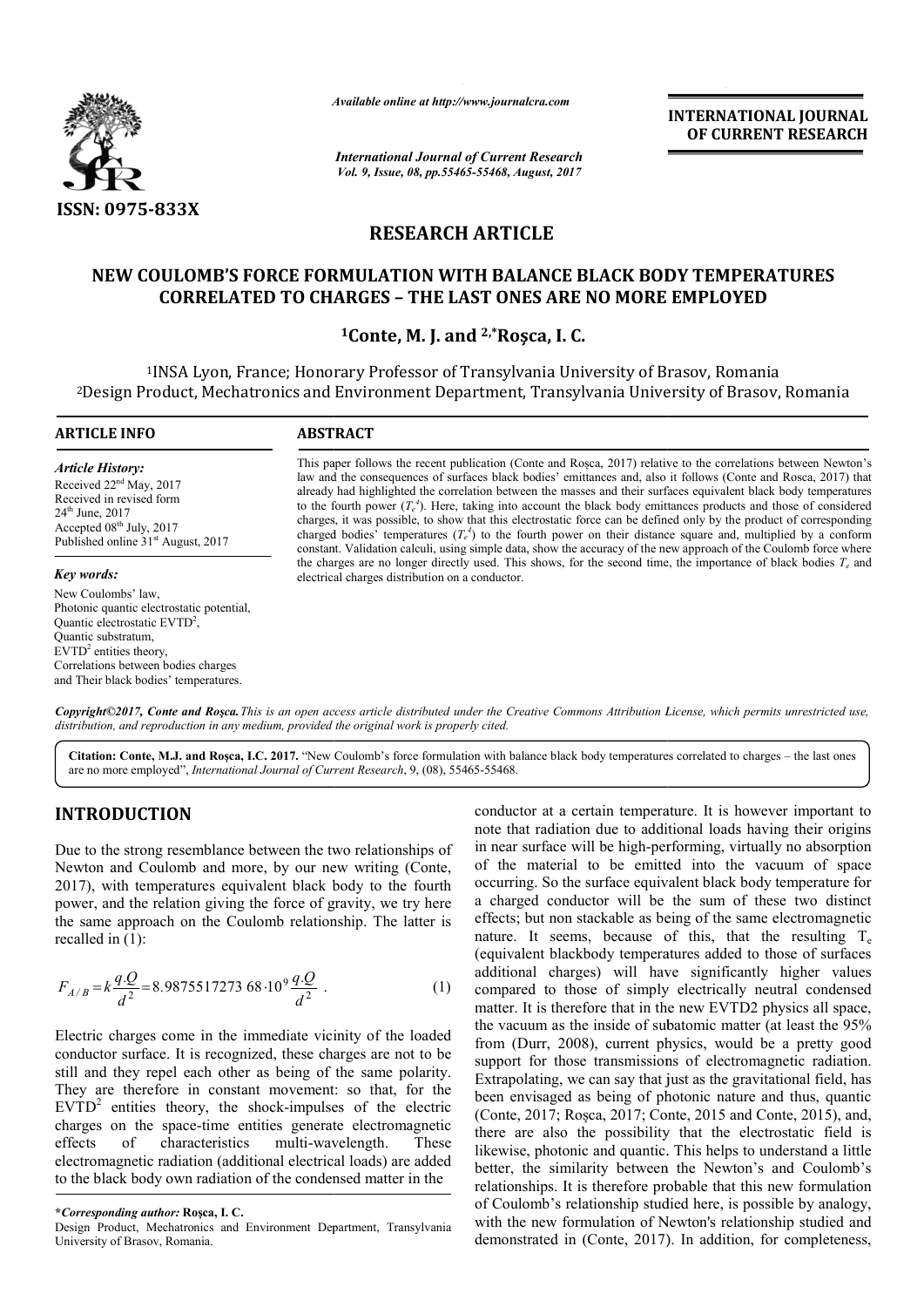

*Available online at http://www.journal http://www.journalcra.com*

*International Journal of Current Research Vol. 9, Issue, 08, pp.55465-55468, August, 2017* **INTERNATIONAL JOURNAL OF CURRENT RESEARCH** 

# **RESEARCH ARTICLE**

## NEW COULOMB'S FORCE FORMULATION WITH BALANCE BLACK BODY TEMPERATURES<br>CORRELATED TO CHARGES – THE LAST ONES ARE NO MORE EMPLOYED **CORRELATED TO CHARGES – THE LAST ONES ARE NO MORE EMPLOYED**

## **1Conte, M. J. and 2,\*Roşca, I. C.**

<sup>1</sup>INSA Lyon, France; Honorary Professor of Transylvania University of Brasov, Romania<br>roduct, Mechatronics and Environment Department, Transylvania University of Brasov, 2Design Product, Mechatronics and Environment Department, Transylvania University of Brasov, Romania Design

#### **ARTICLE INFO ABSTRACT** This paper follows the recent publication (Conte and Roșca, 2017) relative to the correlations between Newton's This paper follows the recent publication (Conte and Rosca, 2017) relative to the correlations between Newton's law and the consequences of surfaces black bodies' emittances and, also it follows (Conte and Rosca, 2017) tha *Article History:* Received 22<sup>nd</sup> May, 2017

Received in revised form 24th June, 2017 Accepted 08<sup>th</sup> July, 2017 Published online  $31<sup>st</sup>$  August, 2017

*Key words:*

New Coulombs' law, Photonic quantic electrostatic potential, Quantic electrostatic EVTD<sup>2</sup>, Quantic substratum,  $EVTD<sup>2</sup>$  entities theory Correlations between bodies charges and Their black bodies' temperatures.

already had highlighted the correlation between the masses and their surfaces equivalent black body temperatures already had highlighted the correlation between the masses and their surfaces equivalent black body temperatures to the fourth power  $(T_e^4)$ . Here, taking into account the black body emittances products and those of consi charges, it was possible, to show that this electrostatic force can be defined only by the product of corresponding charged bodies' temperatures  $(T_e^4)$  to the fourth power on their distance square and, multiplied by a conform constant. V Validation calculi, using simple data, show the accuracy of the new approach of the Coulomb force where the charges are no longer directly used. This shows, for the second time, the importance of black bodies  $T_e$  and electrical charges distribution on a conductor. charges, it was possible, to show that this electrostatic force can be defined only by the product of corresponding charged bodies' temperatures  $(T_e^4)$  to the fourth power on their distance square and, multiplied by a co

*Copyright©2017, Conte and Roşca.This is an open access article distributed under the Creative Commons Att Attribution License, which ribution permits unrestricted use, distribution, and reproduction in any medium, provided the original work is properly cited.*

Citation: Conte, M.J. and Rosca, I.C. 2017. "New Coulomb's force formulation with balance black body temperatures correlated to charges – the last ones are no more employed", *International Journal of Current Research* , 9, (08), 55465-55468.

## **INTRODUCTION**

Due to the strong resemblance between the two relationships of Newton and Coulomb and more, by our new writing (Conte, 2017), with temperatures equivalent black body to the fourth power, and the relation giving the force of gravity, we try here the same approach on the Coulomb relationship. The latter is recalled in (1):

$$
F_{A/B} = k \frac{qQ}{d^2} = 8.987551727368 \cdot 10^9 \frac{qQ}{d^2} \tag{1}
$$

Electric charges come in the immediate vicinity of the loaded conductor surface. It is recognized, these charges are not to be still and they repel each other as being of the same polarity. They are therefore in constant movement: so that, for the  $EVTD<sup>2</sup>$  entities theory, the shock-impulses of the electric charges on the space-time entities generate electromagnetic effects of characteristics multi-wavelength. These charges on the space-time entities generate electromagnetic effects of characteristics multi-wavelength. electromagnetic radiation (additional electrical loads) are added to the black body own radiation of the condensed matter in the

Design Product, Mechatronics and Environment Department, Transylvania University of Brasov, Romania.

conductor at a certain temperature. It is however important to note that radiation due to additional loads having their origins conductor at a certain temperature. It is however important to note that radiation due to additional loads having their origins in near surface will be high-performing, virtually no absorption of the material to be emitted into the vacuum of space occurring. So the surface equivalent black body temperature for a charged conductor will be the sum of these two distinct effects; but non stackable as being of the sam nature. It seems, because of this, that the resulting  $T_e$ (equivalent blackbody temperatures added to those of surfaces additional charges) will have significantly higher values compared to those of simply electrically neutral condensed matter. It is therefore that in the new EVTD2 physics all space, the vacuum as the inside of subatomic matter (at least the 95 from (Durr, 2008), current physics, would be a pretty good support for those transmissions of electromagnetic radiation. Extrapolating, we can say that just as the gravitational field, has been envisaged as being of photonic nature and thus, quantic (Conte, 2017; Roșca, 2017; Conte, 2015 and Conte, 2015), and, there are also the possibility that the electrostatic field is likewise, photonic and quantic. This helps to understand a little better, the similarity between the Newton's and Coulomb's relationships. It is therefore probable that this new formulation of Coulomb's relationship studied here, is possible by analogy, with the new formulation of Newton's relationship studied and demonstrated in (Conte, 2017). In addition, for completeness, material to be emitted into the vacuum of space<br>ig. So the surface equivalent black body temperature for<br>ed conductor will be the sum of these two distinct<br>but non stackable as being of the same electromagnetic (equivalent blackbody temperatures added to those of surfaces additional charges) will have significantly higher values compared to those of simply electrically neutral condensed matter. It is therefore that in the new EVT from (Durr, 2008), current physics, would be a pretty good support for those transmissions of electromagnetic radiation. Extrapolating, we can say that just as the gravitational field, has been envisaged as being of photon **ITERNATIONAL JOURNAL**<br> **OF CURRENT RESEARCH**<br> **OF CURRENT RESEARCH**<br> **ISON COVED**<br> **ISON COVED**<br> **ISON COVED**<br> **ISON CONCO and ROSSA, 2017)** that<br> **ISON CONCO and ROSSA, 2017)** that<br>
sequivalent black body temperature<br>
o

**<sup>\*</sup>***Corresponding author:* **Roşca, I. C.**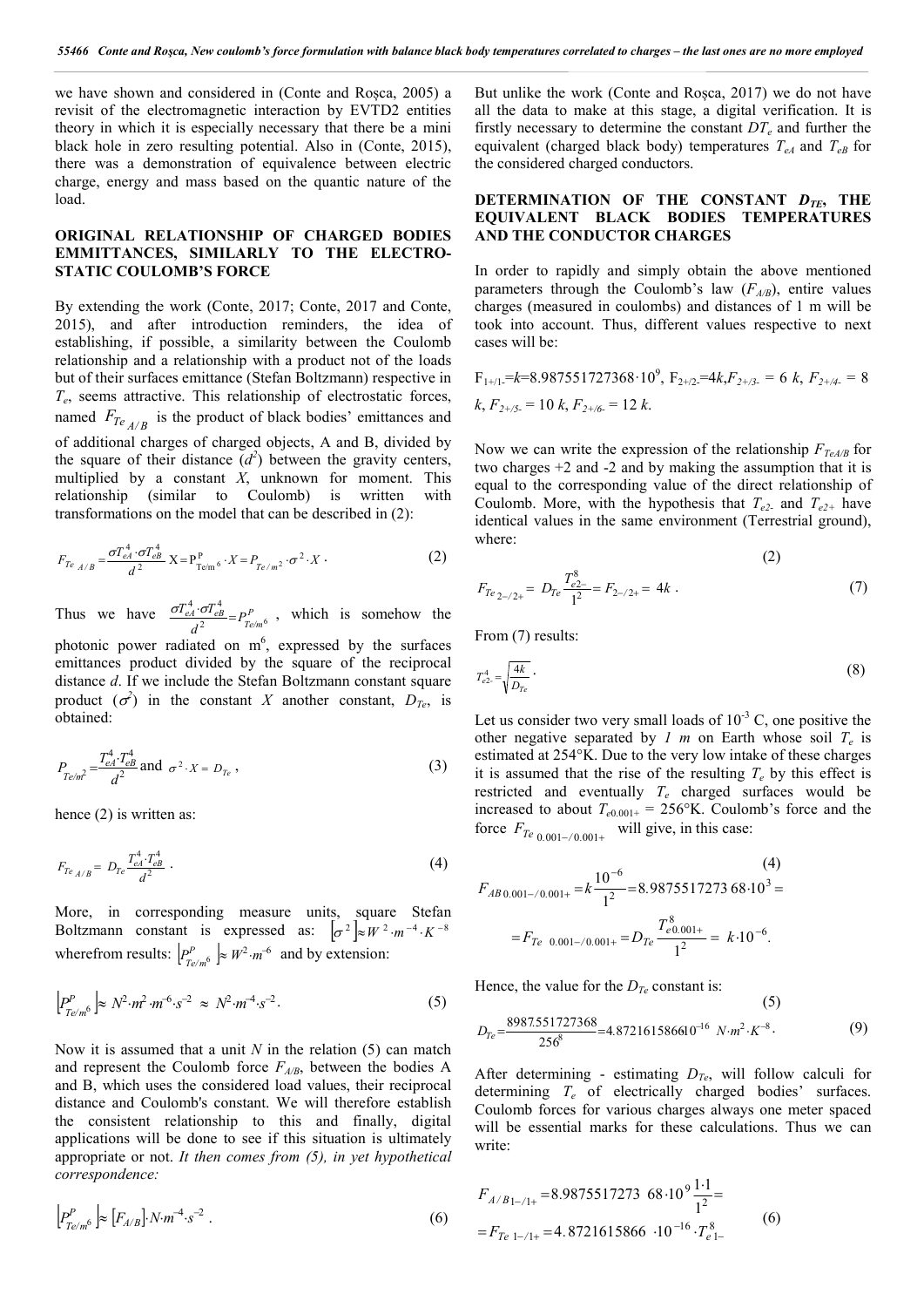we have shown and considered in (Conte and Roșca, 2005) a revisit of the electromagnetic interaction by EVTD2 entities theory in which it is especially necessary that there be a mini black hole in zero resulting potential. Also in (Conte, 2015), there was a demonstration of equivalence between electric charge, energy and mass based on the quantic nature of the load.

### **ORIGINAL RELATIONSHIP OF CHARGED BODIES EMMITTANCES, SIMILARLY TO THE ELECTRO-STATIC COULOMB'S FORCE**

By extending the work (Conte, 2017; Conte, 2017 and Conte, 2015), and after introduction reminders, the idea of establishing, if possible, a similarity between the Coulomb relationship and a relationship with a product not of the loads but of their surfaces emittance (Stefan Boltzmann) respective in *Te*, seems attractive. This relationship of electrostatic forces, named  $F_{Te_{A/B}}$  is the product of black bodies' emittances and of additional charges of charged objects, A and B, divided by the square of their distance  $(d^2)$  between the gravity centers, multiplied by a constant *X*, unknown for moment. This relationship (similar to Coulomb) is written with transformations on the model that can be described in (2):

$$
F_{Te_{A/B}} = \frac{\sigma T_{eA}^4 \cdot \sigma T_{eB}^4}{d^2} X = P_{Te/m^6}^P \cdot X = P_{Te/m^2} \cdot \sigma^2 \cdot X \tag{2}
$$

Thus we have  $\frac{\sigma_{\ell A} \cdot \sigma_{\ell B}}{d^2} = P_{T e/m}^P$  $T^4_{eA} \!\cdot\! \sigma\! T$  $\frac{1}{2}$   $\frac{1}{T}$   $\frac{T_e}{m}$ <sup>6</sup>  $\frac{\sigma T_{eA}^4 \cdot \sigma T_{eB}^4}{2} = P_{T_{eA} \cup 6}^P$ , which is somehow the photonic power radiated on  $m^6$ , expressed by the surfaces emittances product divided by the square of the reciprocal distance *d*. If we include the Stefan Boltzmann constant square product  $(\sigma^2)$  in the constant *X* another constant,  $D_{Te}$ , is obtained:

$$
P_{Te/m^2} = \frac{T_{eA}^4 \cdot T_{eB}^4}{d^2} \text{ and } \sigma^2 \cdot X = D_{Te} \,, \tag{3}
$$

hence (2) is written as:

$$
F_{Te_{A/B}} = D_{Te} \frac{T_{eA}^4 \cdot T_{eB}^4}{d^2} \tag{4}
$$

More, in corresponding measure units, square Stefan Boltzmann constant is expressed as:  $\left[\sigma^2\right] \approx W^2 \cdot m^{-4} \cdot K^{-8}$ wherefrom results:  $\left| P_{T e/m^6}^P \right| \approx W^2 \cdot m^{-6}$  and by extension:

$$
\left[ P_{T e/m}^P \right] \approx N^2 \cdot m^2 \cdot m^{-6} \cdot s^{-2} \approx N^2 \cdot m^{-4} \cdot s^{-2}.
$$
\n(5)

Now it is assumed that a unit *N* in the relation (5) can match and represent the Coulomb force  $F_{A/B}$ , between the bodies A and B, which uses the considered load values, their reciprocal distance and Coulomb's constant. We will therefore establish the consistent relationship to this and finally, digital applications will be done to see if this situation is ultimately appropriate or not. *It then comes from (5), in yet hypothetical correspondence:*

$$
\left| P_{T e/m^6}^P \right| \approx \left[ F_{A/B} \right] N \cdot m^{-4} \cdot s^{-2} \tag{6}
$$
\n
$$
= F_{T e 1} \cdot \mu = 4.8721615866 \cdot 10^{-16} \cdot T_{e 1}^8 \tag{6}
$$

But unlike the work (Conte and Roșca, 2017) we do not have all the data to make at this stage, a digital verification. It is firstly necessary to determine the constant  $DT_e$  and further the equivalent (charged black body) temperatures  $T_{eA}$  and  $T_{eB}$  for the considered charged conductors.

#### **DETERMINATION OF THE CONSTANT** *DTE***, THE EQUIVALENT BLACK BODIES TEMPERATURES AND THE CONDUCTOR CHARGES**

In order to rapidly and simply obtain the above mentioned parameters through the Coulomb's law  $(F_{A/B})$ , entire values charges (measured in coulombs) and distances of 1 m will be took into account. Thus, different values respective to next cases will be:

 $F_{1+/1}$ = $k$ =8.987551727368·10<sup>9</sup>,  $F_{2+/2}$ =4 $k$ , $F_{2+/3}$  = 6  $k$ ,  $F_{2+/4}$  = 8  $k, F_{2+/5} = 10 \; k, F_{2+/6} = 12 \; k.$ 

Now we can write the expression of the relationship  $F_{TeAB}$  for two charges +2 and -2 and by making the assumption that it is equal to the corresponding value of the direct relationship of Coulomb. More, with the hypothesis that  $T_{e2}$  and  $T_{e2+}$  have identical values in the same environment (Terrestrial ground), where:

$$
F_{Te_{2-/2+}} = D_{Te} \frac{T_{e_{2-}}^8}{1^2} = F_{2-/2+} = 4k \tag{7}
$$

From  $(7)$  results:

$$
T_{e2}^4 = \sqrt{\frac{4k}{D_{Te}}} \tag{8}
$$

 $=\frac{T_{\text{A}}^4 \cdot T_{\text{e}}^4}{d^2}$  and  $\sigma^2 \cdot X = D_{T_e}$ , (3) estimated at 254°K. Due to the very low intake of these charges it is assumed that the rise of the resulting  $T_e$  by this effect is Let us consider two very small loads of  $10^{-3}$  C, one positive the other negative separated by  $I$  *m* on Earth whose soil  $T_e$  is estimated at 254°K. Due to the very low intake of these charges restricted and eventually  $T_e$  charged surfaces would be increased to about  $T_{e0.001^+} = 256$ °K. Coulomb's force and the force  $F_{Te\ 0.001-/-0.001+}$  will give, in this case:

$$
F_{AB\,0.001-\/0.001+} = k \frac{10^{-6}}{1^2} = 8.987551727368 \cdot 10^3 =
$$
  
=  $F_{Te\,0.001-\/0.001+} = D_{Te} \frac{T_{e\,0.001+}^8}{1^2} = k \cdot 10^{-6}.$  (4)

Hence, the value for the  $D_{Te}$  constant is:

$$
D_{Te} = \frac{8987.551727368}{256^8} = 4.872161586610^{-16} N \cdot m^2 \cdot K^{-8}.
$$
 (9)

After determining - estimating  $D_{Te}$ , will follow calculi for determining *Te* of electrically charged bodies' surfaces. Coulomb forces for various charges always one meter spaced will be essential marks for these calculations. Thus we can write:

$$
F_{A/B1-/1+} = 8.9875517273 \cdot 68.10^9 \frac{1.1}{1^2} =
$$
  
=  $F_{Te \ 1-/1+} = 4.8721615866 \cdot 10^{-16} \cdot T_{e \ 1-}^8$  (6)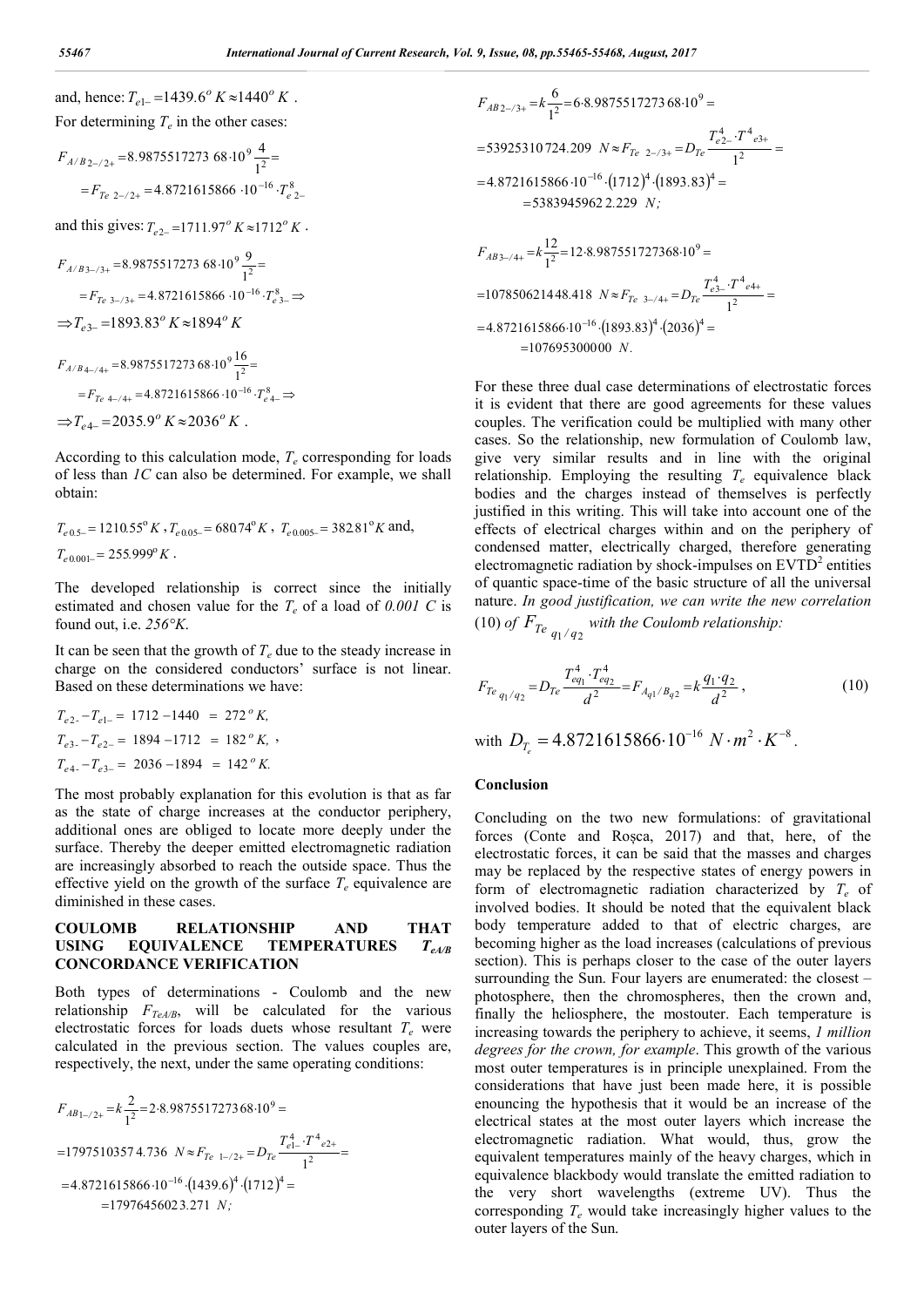and, hence:  $T_{e1} = 1439.6^{\circ} K \approx 1440^{\circ} K$ . For determining  $T_e$  in the other cases:

$$
F_{A/B2-/2+} = 8.987551727368 \cdot 10^{9} \frac{4}{1^{2}} =
$$
  
=  $F_{Te \ 2-/2+} = 4.8721615866 \cdot 10^{-16} \cdot T_{e \ 2-}^{8}$ 

and this gives:  $T_{e2} = 1711.97^{\circ} K \approx 1712^{\circ} K$ .

$$
F_{A/B3-/3+} = 8.987551727368 \cdot 10^{9} \frac{9}{1^{2}} =
$$
  
=  $F_{Te_{3-}/3+} = 4.8721615866 \cdot 10^{-16} \cdot T_{e_{3-}}^{8} \Rightarrow$   
 $\Rightarrow T_{e_{3-}} = 1893.83^{o} K \approx 1894^{o} K$   
 $F_{A/B4-/4+} = 8.987551727368 \cdot 10^{9} \frac{16}{1^{2}} =$ 

$$
=F_{Te\ 4-/4+}=4.8721615866\cdot10^{-16}\cdot T_{e\ 4-}^8\Rightarrow
$$
  

$$
\Rightarrow T_{e\ 4-}=2035.9^{\circ} K\approx 2036^{\circ} K.
$$

According to this calculation mode,  $T_e$  corresponding for loads of less than *1C* can also be determined. For example, we shall obtain:

$$
T_{e\,0.5-} = 1210.55^{\circ} K
$$
,  $T_{e\,0.05-} = 68074^{\circ} K$ ,  $T_{e\,0.005-} = 382.81^{\circ} K$  and,  
 $T_{e\,0.001-} = 255.999^{\circ} K$ .

The developed relationship is correct since the initially estimated and chosen value for the  $T_e$  of a load of 0.001 C is found out, i.e. *256°K*.

It can be seen that the growth of  $T_e$  due to the steady increase in charge on the considered conductors' surface is not linear. Based on these determinations we have:

$$
T_{e2} - T_{e1-} = 1712 - 1440 = 272^{\circ} K,
$$
  
\n
$$
T_{e3} - T_{e2-} = 1894 - 1712 = 182^{\circ} K,
$$
  
\n
$$
T_{e4} - T_{e3-} = 2036 - 1894 = 142^{\circ} K.
$$

The most probably explanation for this evolution is that as far as the state of charge increases at the conductor periphery, additional ones are obliged to locate more deeply under the surface. Thereby the deeper emitted electromagnetic radiation are increasingly absorbed to reach the outside space. Thus the effective yield on the growth of the surface  $T_e$  equivalence are diminished in these cases.

### **COULOMB RELATIONSHIP AND THAT USING EQUIVALENCE TEMPERATURES** *TeA/B* **CONCORDANCE VERIFICATION**

Both types of determinations - Coulomb and the new relationship  $F_{TeA/B}$ , will be calculated for the various electrostatic forces for loads duets whose resultant  $T_e$  were calculated in the previous section. The values couples are, respectively, the next, under the same operating conditions:

$$
F_{AB1-/2+} = k \frac{2}{1^2} = 2.8.987551727368.10^9 =
$$
  
= 17975103574.736  $N \approx F_{Te \ 1-/2+} = D_{Te} \frac{T_{e1-}^4 \cdot T_{e2+}^4}{1^2} =$   
= 4.8721615866.10<sup>-16</sup>.(1439.6)<sup>4</sup>.(1712)<sup>4</sup> =  
= 17976456023.271 *N*;

$$
F_{AB2-/3+} = k \frac{6}{1^2} = 6.8.987551727368 \cdot 10^9 =
$$
  
= 53925310724.209  $N \approx F_{Te_{2-}/3+} = D_{Te} \frac{T_{e2-}^4 \cdot T^4 e_{3+}}{1^2} =$   
= 4.8721615866 \cdot 10^{-16} \cdot (1712)^4 \cdot (1893.83)^4 =  
= 53839459622.229 *N*;  

$$
F_{AB_{3-}/4+} = k \frac{12}{1^2} = 12.8.987551727368 \cdot 10^9 =
$$
  
= 107850621448.418  $N \approx F_{Te_{3-}/4+} = D_{Te} \frac{T_{e3-}^4 \cdot T^4 e_{4+}}{1^2} =$   
= 4.8721615866 \cdot 10^{-16} \cdot (1893.83)^4 \cdot (2036)^4 =  
= 107695300000 *N*.

For these three dual case determinations of electrostatic forces it is evident that there are good agreements for these values couples. The verification could be multiplied with many other cases. So the relationship, new formulation of Coulomb law, give very similar results and in line with the original relationship. Employing the resulting  $T_e$  equivalence black bodies and the charges instead of themselves is perfectly justified in this writing. This will take into account one of the effects of electrical charges within and on the periphery of condensed matter, electrically charged, therefore generating electromagnetic radiation by shock-impulses on  $EVTD<sup>2</sup>$  entities of quantic space-time of the basic structure of all the universal nature. *In good justification, we can write the new correlation* (10) of  $F_{Te_{q_1/q_2}}$  with the Coulomb relationship:

$$
F_{Te_{q_1/q_2}} = D_{Te} \frac{T_{eq_1}^4 \cdot T_{eq_2}^4}{d^2} = F_{A_{q_1}/B_{q_2}} = k \frac{q_1 \cdot q_2}{d^2} \,,\tag{10}
$$

with  $D_T = 4.8721615866 \cdot 10^{-16} N \cdot m^2 \cdot K^{-8}$ .

#### **Conclusion**

Concluding on the two new formulations: of gravitational forces (Conte and Roșca, 2017) and that, here, of the electrostatic forces, it can be said that the masses and charges may be replaced by the respective states of energy powers in form of electromagnetic radiation characterized by *Te* of involved bodies. It should be noted that the equivalent black body temperature added to that of electric charges, are becoming higher as the load increases (calculations of previous section). This is perhaps closer to the case of the outer layers surrounding the Sun. Four layers are enumerated: the closest – photosphere, then the chromospheres, then the crown and, finally the heliosphere, the mostouter. Each temperature is increasing towards the periphery to achieve, it seems, *1 million degrees for the crown, for example*. This growth of the various most outer temperatures is in principle unexplained. From the considerations that have just been made here, it is possible enouncing the hypothesis that it would be an increase of the electrical states at the most outer layers which increase the electromagnetic radiation. What would, thus, grow the equivalent temperatures mainly of the heavy charges, which in equivalence blackbody would translate the emitted radiation to the very short wavelengths (extreme UV). Thus the corresponding *Te* would take increasingly higher values to the outer layers of the Sun.